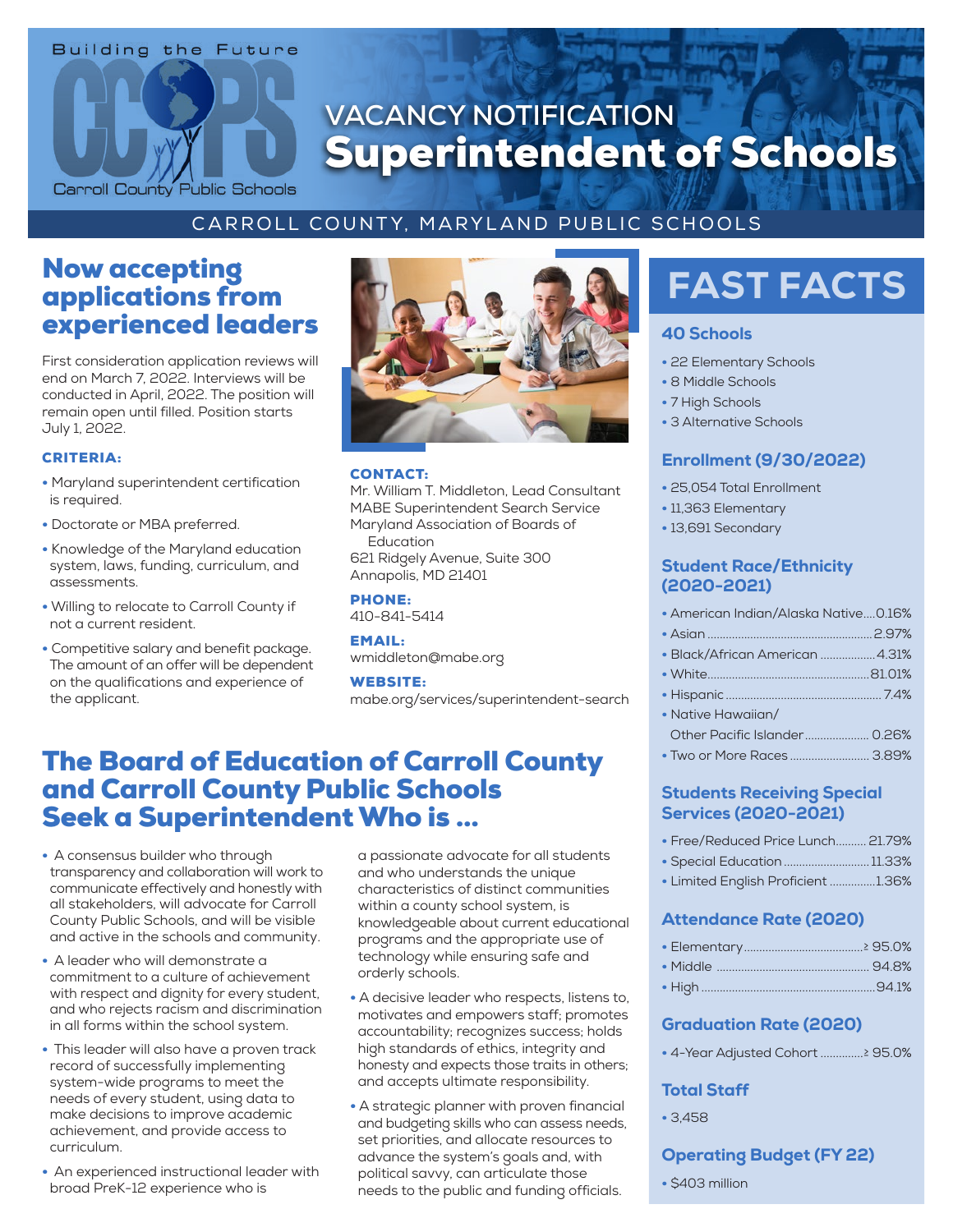# **Building the Future** Carroll County Public Schools

# **VACANCY NOTIFICATION** Superintendent of Schools

### CARROLL COUNTY, MARYLAND PUBLIC SCHOOLS

## Now accepting applications from experienced leaders

First consideration application reviews will end on March 7, 2022. Interviews will be conducted in April, 2022. The position will remain open until filled. Position starts July 1, 2022.

#### CRITERIA:

- Maryland superintendent certification is required.
- Doctorate or MBA preferred.
- Knowledge of the Maryland education system, laws, funding, curriculum, and assessments.
- Willing to relocate to Carroll County if not a current resident.
- Competitive salary and benefit package. The amount of an offer will be dependent on the qualifications and experience of the applicant.



#### CONTACT:

Mr. William T. Middleton, Lead Consultant MABE Superintendent Search Service Maryland Association of Boards of Education

621 Ridgely Avenue, Suite 300 Annapolis, MD 21401

PHONE: 410-841-5414

EMAIL: wmiddleton@mabe.org

#### WEBSITE:

mabe.org/services/superintendent-search

## The Board of Education of Carroll County and Carroll County Public Schools Seek a Superintendent Who is ...

- A consensus builder who through transparency and collaboration will work to communicate effectively and honestly with all stakeholders, will advocate for Carroll County Public Schools, and will be visible and active in the schools and community.
- A leader who will demonstrate a commitment to a culture of achievement with respect and dignity for every student, and who rejects racism and discrimination in all forms within the school system.
- This leader will also have a proven track record of successfully implementing system-wide programs to meet the needs of every student, using data to make decisions to improve academic achievement, and provide access to curriculum.
- An experienced instructional leader with broad PreK-12 experience who is

a passionate advocate for all students and who understands the unique characteristics of distinct communities within a county school system, is knowledgeable about current educational programs and the appropriate use of technology while ensuring safe and orderly schools.

- A decisive leader who respects, listens to, motivates and empowers staff; promotes accountability; recognizes success; holds high standards of ethics, integrity and honesty and expects those traits in others; and accepts ultimate responsibility.
- A strategic planner with proven financial and budgeting skills who can assess needs, set priorities, and allocate resources to advance the system's goals and, with political savvy, can articulate those needs to the public and funding officials.

# FAST FACTS

#### 40 Schools

- 22 Elementary Schools
- 8 Middle Schools
- 7 High Schools
- 3 Alternative Schools

#### Enrollment (9/30/2022)

- 25,054 Total Enrollment
- 11,363 Elementary
- 13,691 Secondary

#### Student Race/Ethnicity (2020-2021)

| • American Indian/Alaska Native0.16% |  |
|--------------------------------------|--|
|                                      |  |
| • Black/African American 4.31%       |  |
|                                      |  |
|                                      |  |
| • Native Hawaiian/                   |  |
|                                      |  |

• Two or More Races .......................... 3.89%

#### Students Receiving Special Services (2020-2021)

- Free/Reduced Price Lunch.......... 21.79%
- Special Education............................ 11.33%
- Limited English Proficient ...............1.36%

#### Attendance Rate (2020)

#### Graduation Rate (2020)

• 4-Year Adjusted Cohort ..............≥ 95.0%

#### Total Staff

• 3,458

#### Operating Budget (FY 22)

• \$403 million